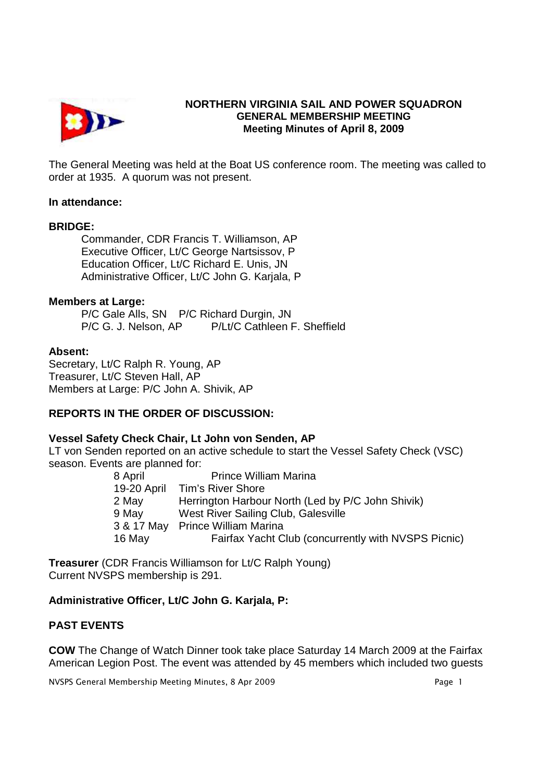

# **NORTHERN VIRGINIA SAIL AND POWER SQUADRON GENERAL MEMBERSHIP MEETING Meeting Minutes of April 8, 2009**

The General Meeting was held at the Boat US conference room. The meeting was called to order at 1935. A quorum was not present.

### **In attendance:**

### **BRIDGE:**

 Commander, CDR Francis T. Williamson, AP Executive Officer, Lt/C George Nartsissov, P Education Officer, Lt/C Richard E. Unis, JN Administrative Officer, Lt/C John G. Karjala, P

### **Members at Large:**

P/C Gale Alls, SN P/C Richard Durgin, JN P/C G. J. Nelson, AP P/Lt/C Cathleen F. Sheffield

### **Absent:**

Secretary, Lt/C Ralph R. Young, AP Treasurer, Lt/C Steven Hall, AP Members at Large: P/C John A. Shivik, AP

# **REPORTS IN THE ORDER OF DISCUSSION:**

## **Vessel Safety Check Chair, Lt John von Senden, AP**

LT von Senden reported on an active schedule to start the Vessel Safety Check (VSC) season. Events are planned for:

8 April Prince William Marina 19-20 April Tim's River Shore 2 May Herrington Harbour North (Led by P/C John Shivik) 9 May West River Sailing Club, Galesville 3 & 17 May Prince William Marina 16 May Fairfax Yacht Club (concurrently with NVSPS Picnic)

**Treasurer** (CDR Francis Williamson for Lt/C Ralph Young) Current NVSPS membership is 291.

## **Administrative Officer, Lt/C John G. Karjala, P:**

## **PAST EVENTS**

**COW** The Change of Watch Dinner took take place Saturday 14 March 2009 at the Fairfax American Legion Post. The event was attended by 45 members which included two guests

NVSPS General Membership Meeting Minutes, 8 Apr 2009 **Page 1** Page 1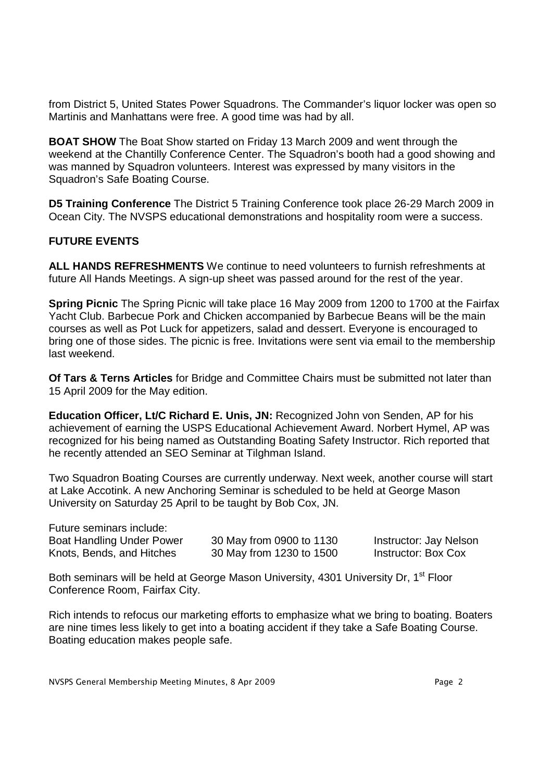from District 5, United States Power Squadrons. The Commander's liquor locker was open so Martinis and Manhattans were free. A good time was had by all.

**BOAT SHOW** The Boat Show started on Friday 13 March 2009 and went through the weekend at the Chantilly Conference Center. The Squadron's booth had a good showing and was manned by Squadron volunteers. Interest was expressed by many visitors in the Squadron's Safe Boating Course.

**D5 Training Conference** The District 5 Training Conference took place 26-29 March 2009 in Ocean City. The NVSPS educational demonstrations and hospitality room were a success.

## **FUTURE EVENTS**

**ALL HANDS REFRESHMENTS** We continue to need volunteers to furnish refreshments at future All Hands Meetings. A sign-up sheet was passed around for the rest of the year.

**Spring Picnic** The Spring Picnic will take place 16 May 2009 from 1200 to 1700 at the Fairfax Yacht Club. Barbecue Pork and Chicken accompanied by Barbecue Beans will be the main courses as well as Pot Luck for appetizers, salad and dessert. Everyone is encouraged to bring one of those sides. The picnic is free. Invitations were sent via email to the membership last weekend.

**Of Tars & Terns Articles** for Bridge and Committee Chairs must be submitted not later than 15 April 2009 for the May edition.

**Education Officer, Lt/C Richard E. Unis, JN:** Recognized John von Senden, AP for his achievement of earning the USPS Educational Achievement Award. Norbert Hymel, AP was recognized for his being named as Outstanding Boating Safety Instructor. Rich reported that he recently attended an SEO Seminar at Tilghman Island.

Two Squadron Boating Courses are currently underway. Next week, another course will start at Lake Accotink. A new Anchoring Seminar is scheduled to be held at George Mason University on Saturday 25 April to be taught by Bob Cox, JN.

| Future seminars include:  |           |
|---------------------------|-----------|
| Boat Handling Under Power | 30 May fr |
| Knots, Bends, and Hitches | 30 May fr |

boat 1130 **Poat Andrew South 1130** Instructor: Jay Nelson From 1230 to 1500 Instructor: Box Cox

Both seminars will be held at George Mason University, 4301 University Dr, 1<sup>st</sup> Floor Conference Room, Fairfax City.

Rich intends to refocus our marketing efforts to emphasize what we bring to boating. Boaters are nine times less likely to get into a boating accident if they take a Safe Boating Course. Boating education makes people safe.